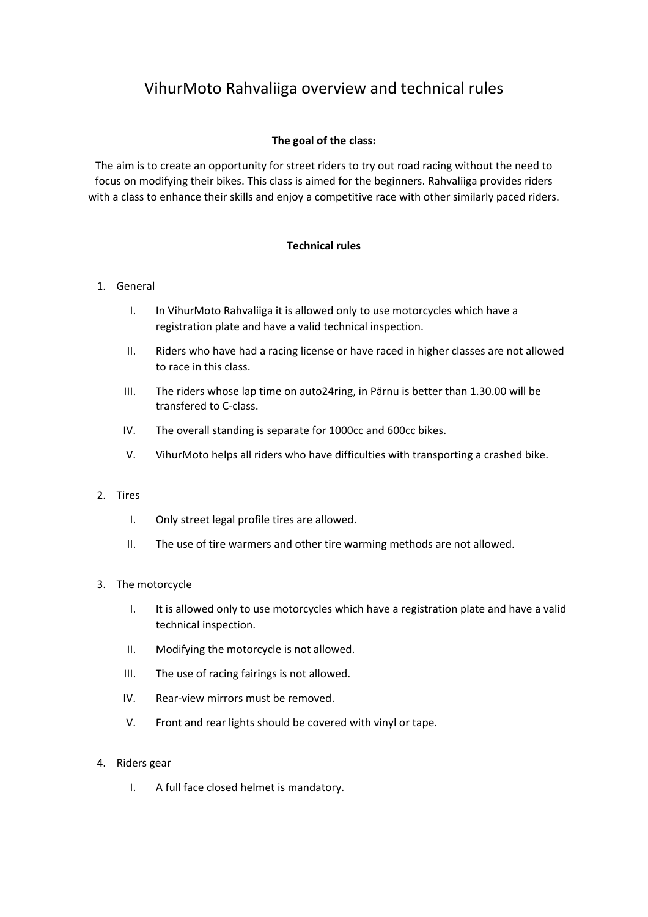# VihurMoto Rahvaliiga overview and technical rules

# **The goal of the class:**

The aim is to create an opportunity for street riders to try out road racing without the need to focus on modifying their bikes. This class is aimed for the beginners. Rahvaliiga provides riders with a class to enhance their skills and enjoy a competitive race with other similarly paced riders.

# **Technical rules**

### 1. General

- I. In VihurMoto Rahvaliiga it is allowed only to use motorcycles which have a registration plate and have a valid technical inspection.
- II. Riders who have had a racing license or have raced in higher classes are not allowed to race in this class.
- III. The riders whose lap time on auto24ring, in Pärnu is better than 1.30.00 will be transfered to C-class.
- IV. The overall standing is separate for 1000cc and 600cc bikes.
- V. VihurMoto helps all riders who have difficulties with transporting a crashed bike.

### 2. Tires

- I. Only street legal profile tires are allowed.
- II. The use of tire warmers and other tire warming methods are not allowed.

### 3. The motorcycle

- I. It is allowed only to use motorcycles which have a registration plate and have a valid technical inspection.
- II. Modifying the motorcycle is not allowed.
- III. The use of racing fairings is not allowed.
- IV. Rear-view mirrors must be removed.
- V. Front and rear lights should be covered with vinyl or tape.

### 4. Riders gear

I. A full face closed helmet is mandatory.